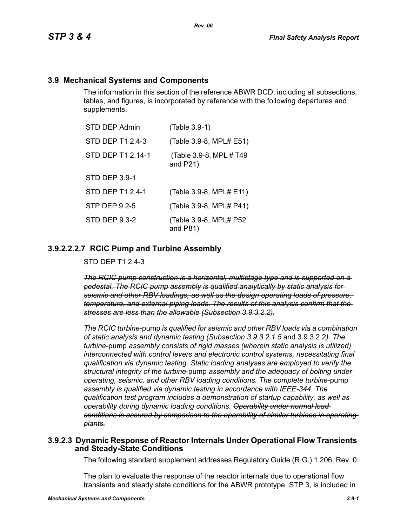#### **3.9 Mechanical Systems and Components**

The information in this section of the reference ABWR DCD, including all subsections, tables, and figures, is incorporated by reference with the following departures and supplements.

| STD DEP Admin        | (Table 3.9-1)                           |
|----------------------|-----------------------------------------|
| STD DEP T1 2.4-3     | (Table 3.9-8, MPL# E51)                 |
| STD DEP T1 2.14-1    | (Table 3.9-8, MPL # T49)<br>and $P21$ ) |
| <b>STD DEP 3.9-1</b> |                                         |
| STD DEP T1 2.4-1     | (Table 3.9-8, MPL# E11)                 |
| STP DEP 9.2-5        | (Table 3.9-8, MPL# P41)                 |
| <b>STD DEP 9.3-2</b> | (Table 3.9-8, MPL# P52<br>and $P81$ )   |

#### **3.9.2.2.2.7 RCIC Pump and Turbine Assembly**

STD DEP T1 2.4-3

*The RCIC pump construction is a horizontal, multistage type and is supported on a pedestal. The RCIC pump assembly is qualified analytically by static analysis for seismic and other RBV loadings, as well as the design operating loads of pressure, temperature, and external piping loads. The results of this analysis confirm that the stresses are less than the allowable (Subsection 3.9.3.2.2).*

*The RCIC turbine*-pump *is qualified for seismic and other RBV loads via a combination of static analysis and dynamic testing (Subsection 3.9.3.2.1.5* and 3.9.3.2.2*). The turbine*-pump *assembly consists of rigid masses (wherein static analysis is utilized) interconnected with control levers and electronic control systems, necessitating final qualification via dynamic testing. Static loading analyses are employed to verify the structural integrity of the turbine*-pump *assembly and the adequacy of bolting under operating, seismic, and other RBV loading conditions. The complete turbine*-pump *assembly is qualified via dynamic testing in accordance with IEEE-344. The qualification test program includes a demonstration of startup capability, as well as operability during dynamic loading conditions. Operability under normal load conditions is assured by comparison to the operability of similar turbines in operating plants.*

#### **3.9.2.3 Dynamic Response of Reactor Internals Under Operational Flow Transients and Steady-State Conditions**

The following standard supplement addresses Regulatory Guide (R.G.) 1.206, Rev. 0:

The plan to evaluate the response of the reactor internals due to operational flow transients and steady state conditions for the ABWR prototype, STP 3, is included in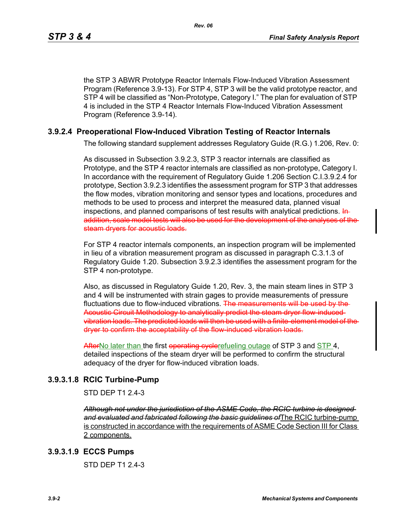the STP 3 ABWR Prototype Reactor Internals Flow-Induced Vibration Assessment Program (Reference 3.9-13). For STP 4, STP 3 will be the valid prototype reactor, and STP 4 will be classified as "Non-Prototype, Category I." The plan for evaluation of STP 4 is included in the STP 4 Reactor Internals Flow-Induced Vibration Assessment Program (Reference 3.9-14).

## **3.9.2.4 Preoperational Flow-Induced Vibration Testing of Reactor Internals**

The following standard supplement addresses Regulatory Guide (R.G.) 1.206, Rev. 0:

As discussed in Subsection 3.9.2.3, STP 3 reactor internals are classified as Prototype, and the STP 4 reactor internals are classified as non-prototype, Category I. In accordance with the requirement of Regulatory Guide 1.206 Section C.I.3.9.2.4 for prototype, Section 3.9.2.3 identifies the assessment program for STP 3 that addresses the flow modes, vibration monitoring and sensor types and locations, procedures and methods to be used to process and interpret the measured data, planned visual inspections, and planned comparisons of test results with analytical predictions. Inaddition, scale model tests will also be used for the development of the analyses of the steam dryers for acoustic loads.

For STP 4 reactor internals components, an inspection program will be implemented in lieu of a vibration measurement program as discussed in paragraph C.3.1.3 of Regulatory Guide 1.20. Subsection 3.9.2.3 identifies the assessment program for the STP 4 non-prototype.

Also, as discussed in Regulatory Guide 1.20, Rev. 3, the main steam lines in STP 3 and 4 will be instrumented with strain gages to provide measurements of pressure fluctuations due to flow-induced vibrations. The measurements will be used by the Acoustic Circuit Methodology to analytically predict the steam dryer flow inducedvibration loads. The predicted loads will then be used with a finite-element model of the dryer to confirm the acceptability of the flow-induced vibration loads.

AfterNo later than the first operating evelerefueling outage of STP 3 and STP 4, detailed inspections of the steam dryer will be performed to confirm the structural adequacy of the dryer for flow-induced vibration loads.

## **3.9.3.1.8 RCIC Turbine-Pump**

STD DFP T1 2 4-3

*Although not under the jurisdiction of the ASME Code, the RCIC turbine is designed and evaluated and fabricated following the basic guidelines of*The RCIC turbine-pump is constructed in accordance with the requirements of ASME Code Section III for Class 2 components.

#### **3.9.3.1.9 ECCS Pumps**

STD DFP T1 2 4-3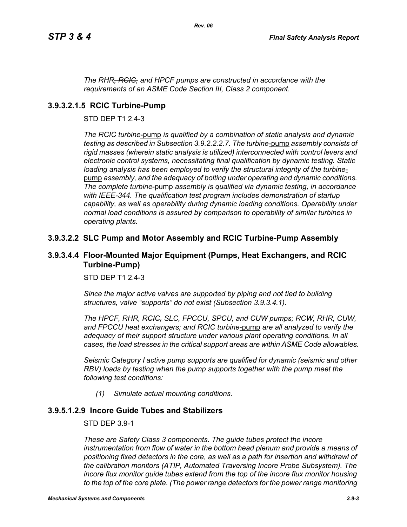*The RHR, RCIC, and HPCF pumps are constructed in accordance with the requirements of an ASME Code Section III, Class 2 component.*

## **3.9.3.2.1.5 RCIC Turbine-Pump**

STD DEP T1 2.4-3

*The RCIC turbine*-pump *is qualified by a combination of static analysis and dynamic testing as described in Subsection 3.9.2.2.2.7. The turbine*-pump *assembly consists of rigid masses (wherein static analysis is utilized) interconnected with control levers and electronic control systems, necessitating final qualification by dynamic testing. Static loading analysis has been employed to verify the structural integrity of the turbine*pump *assembly, and the adequacy of bolting under operating and dynamic conditions. The complete turbine*-pump *assembly is qualified via dynamic testing, in accordance with IEEE-344. The qualification test program includes demonstration of startup capability, as well as operability during dynamic loading conditions. Operability under normal load conditions is assured by comparison to operability of similar turbines in operating plants.*

## **3.9.3.2.2 SLC Pump and Motor Assembly and RCIC Turbine-Pump Assembly**

#### **3.9.3.4.4 Floor-Mounted Major Equipment (Pumps, Heat Exchangers, and RCIC Turbine-Pump)**

STD DEP T1 2.4-3

*Since the major active valves are supported by piping and not tied to building structures, valve "supports" do not exist (Subsection 3.9.3.4.1).*

*The HPCF, RHR, RCIC, SLC, FPCCU, SPCU, and CUW pumps; RCW, RHR, CUW, and FPCCU heat exchangers; and RCIC turbine*-pump *are all analyzed to verify the adequacy of their support structure under various plant operating conditions. In all cases, the load stresses in the critical support areas are within ASME Code allowables.*

*Seismic Category I active pump supports are qualified for dynamic (seismic and other RBV) loads by testing when the pump supports together with the pump meet the following test conditions:*

*(1) Simulate actual mounting conditions.*

## **3.9.5.1.2.9 Incore Guide Tubes and Stabilizers**

STD DEP 3.9-1

*These are Safety Class 3 components. The guide tubes protect the incore instrumentation from flow of water in the bottom head plenum and provide a means of positioning fixed detectors in the core, as well as a path for insertion and withdrawl of the calibration monitors (ATIP, Automated Traversing Incore Probe Subsystem). The incore flux monitor guide tubes extend from the top of the incore flux monitor housing to the top of the core plate. (The power range detectors for the power range monitoring*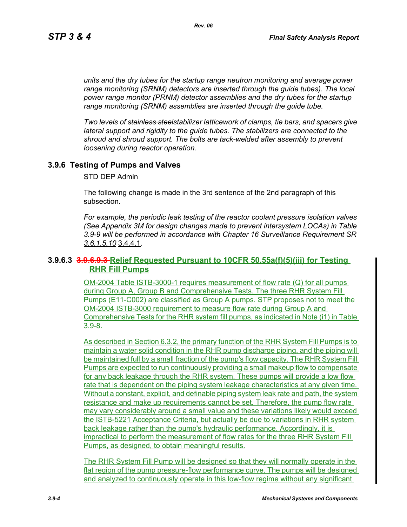*units and the dry tubes for the startup range neutron monitoring and average power range monitoring (SRNM) detectors are inserted through the guide tubes). The local power range monitor (PRNM) detector assemblies and the dry tubes for the startup range monitoring (SRNM) assemblies are inserted through the guide tube.*

*Two levels of stainless steelstabilizer latticework of clamps, tie bars, and spacers give lateral support and rigidity to the guide tubes. The stabilizers are connected to the shroud and shroud support. The bolts are tack-welded after assembly to prevent loosening during reactor operation.*

## **3.9.6 Testing of Pumps and Valves**

STD DEP Admin

The following change is made in the 3rd sentence of the 2nd paragraph of this subsection.

*For example, the periodic leak testing of the reactor coolant pressure isolation valves (See Appendix 3M for design changes made to prevent intersystem LOCAs) in Table 3.9-9 will be performed in accordance with Chapter 16 Surveillance Requirement SR 3.6.1.5.10* 3.4.4.1*.*

## **3.9.6.3 3.9.6.9.3 Relief Requested Pursuant to 10CFR 50.55a(f)(5)(iii) for Testing RHR Fill Pumps**

OM-2004 Table ISTB-3000-1 requires measurement of flow rate (Q) for all pumps during Group A, Group B and Comprehensive Tests. The three RHR System Fill Pumps (E11-C002) are classified as Group A pumps. STP proposes not to meet the OM-2004 ISTB-3000 requirement to measure flow rate during Group A and Comprehensive Tests for the RHR system fill pumps, as indicated in Note (i1) in Table 3.9-8.

As described in Section 6.3.2, the primary function of the RHR System Fill Pumps is to maintain a water solid condition in the RHR pump discharge piping, and the piping will be maintained full by a small fraction of the pump's flow capacity. The RHR System Fill Pumps are expected to run continuously providing a small makeup flow to compensate for any back leakage through the RHR system. These pumps will provide a low flow rate that is dependent on the piping system leakage characteristics at any given time. Without a constant, explicit, and definable piping system leak rate and path, the system resistance and make up requirements cannot be set. Therefore, the pump flow rate may vary considerably around a small value and these variations likely would exceed the ISTB-5221 Acceptance Criteria, but actually be due to variations in RHR system back leakage rather than the pump's hydraulic performance. Accordingly, it is impractical to perform the measurement of flow rates for the three RHR System Fill Pumps, as designed, to obtain meaningful results.

The RHR System Fill Pump will be designed so that they will normally operate in the flat region of the pump pressure-flow performance curve. The pumps will be designed and analyzed to continuously operate in this low-flow regime without any significant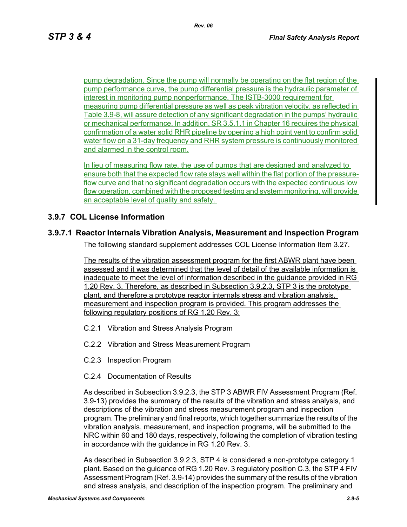pump degradation. Since the pump will normally be operating on the flat region of the pump performance curve, the pump differential pressure is the hydraulic parameter of interest in monitoring pump nonperformance. The ISTB-3000 requirement for measuring pump differential pressure as well as peak vibration velocity, as reflected in Table 3.9-8, will assure detection of any significant degradation in the pumps' hydraulic or mechanical performance. In addition, SR 3.5.1.1 in Chapter 16 requires the physical confirmation of a water solid RHR pipeline by opening a high point vent to confirm solid water flow on a 31-day frequency and RHR system pressure is continuously monitored and alarmed in the control room.

In lieu of measuring flow rate, the use of pumps that are designed and analyzed to ensure both that the expected flow rate stays well within the flat portion of the pressureflow curve and that no significant degradation occurs with the expected continuous low flow operation, combined with the proposed testing and system monitoring, will provide an acceptable level of quality and safety.

# **3.9.7 COL License Information**

## **3.9.7.1 Reactor Internals Vibration Analysis, Measurement and Inspection Program**

The following standard supplement addresses COL License Information Item 3.27.

The results of the vibration assessment program for the first ABWR plant have been assessed and it was determined that the level of detail of the available information is inadequate to meet the level of information described in the guidance provided in RG 1.20 Rev. 3. Therefore, as described in Subsection 3.9.2.3, STP 3 is the prototype plant, and therefore a prototype reactor internals stress and vibration analysis, measurement and inspection program is provided. This program addresses the following regulatory positions of RG 1.20 Rev. 3:

- C.2.1 Vibration and Stress Analysis Program
- C.2.2 Vibration and Stress Measurement Program
- C.2.3 Inspection Program
- C.2.4 Documentation of Results

As described in Subsection 3.9.2.3, the STP 3 ABWR FIV Assessment Program (Ref. 3.9-13) provides the summary of the results of the vibration and stress analysis, and descriptions of the vibration and stress measurement program and inspection program. The preliminary and final reports, which together summarize the results of the vibration analysis, measurement, and inspection programs, will be submitted to the NRC within 60 and 180 days, respectively, following the completion of vibration testing in accordance with the guidance in RG 1.20 Rev. 3.

As described in Subsection 3.9.2.3, STP 4 is considered a non-prototype category 1 plant. Based on the guidance of RG 1.20 Rev. 3 regulatory position C.3, the STP 4 FIV Assessment Program (Ref. 3.9-14) provides the summary of the results of the vibration and stress analysis, and description of the inspection program. The preliminary and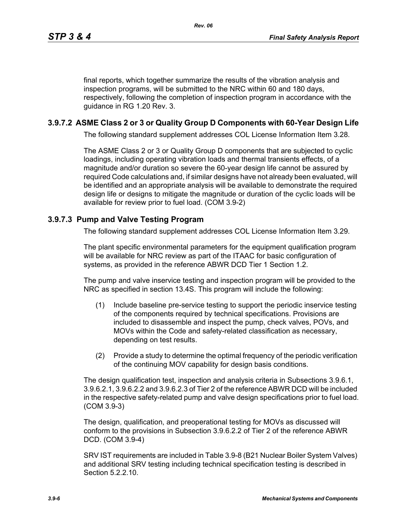final reports, which together summarize the results of the vibration analysis and inspection programs, will be submitted to the NRC within 60 and 180 days, respectively, following the completion of inspection program in accordance with the guidance in RG 1.20 Rev. 3.

# **3.9.7.2 ASME Class 2 or 3 or Quality Group D Components with 60-Year Design Life**

The following standard supplement addresses COL License Information Item 3.28.

The ASME Class 2 or 3 or Quality Group D components that are subjected to cyclic loadings, including operating vibration loads and thermal transients effects, of a magnitude and/or duration so severe the 60-year design life cannot be assured by required Code calculations and, if similar designs have not already been evaluated, will be identified and an appropriate analysis will be available to demonstrate the required design life or designs to mitigate the magnitude or duration of the cyclic loads will be available for review prior to fuel load. (COM 3.9-2)

# **3.9.7.3 Pump and Valve Testing Program**

The following standard supplement addresses COL License Information Item 3.29.

The plant specific environmental parameters for the equipment qualification program will be available for NRC review as part of the ITAAC for basic configuration of systems, as provided in the reference ABWR DCD Tier 1 Section 1.2.

The pump and valve inservice testing and inspection program will be provided to the NRC as specified in section 13.4S. This program will include the following:

- (1) Include baseline pre-service testing to support the periodic inservice testing of the components required by technical specifications. Provisions are included to disassemble and inspect the pump, check valves, POVs, and MOVs within the Code and safety-related classification as necessary, depending on test results.
- (2) Provide a study to determine the optimal frequency of the periodic verification of the continuing MOV capability for design basis conditions.

The design qualification test, inspection and analysis criteria in Subsections 3.9.6.1, 3.9.6.2.1, 3.9.6.2.2 and 3.9.6.2.3 of Tier 2 of the reference ABWR DCD will be included in the respective safety-related pump and valve design specifications prior to fuel load. (COM 3.9-3)

The design, qualification, and preoperational testing for MOVs as discussed will conform to the provisions in Subsection 3.9.6.2.2 of Tier 2 of the reference ABWR DCD. (COM 3.9-4)

SRV IST requirements are included in Table 3.9-8 (B21 Nuclear Boiler System Valves) and additional SRV testing including technical specification testing is described in Section 5.2.2.10.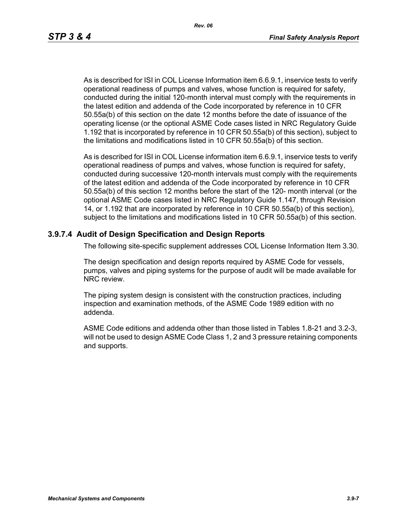As is described for ISI in COL License Information item 6.6.9.1, inservice tests to verify operational readiness of pumps and valves, whose function is required for safety, conducted during the initial 120-month interval must comply with the requirements in the latest edition and addenda of the Code incorporated by reference in 10 CFR 50.55a(b) of this section on the date 12 months before the date of issuance of the operating license (or the optional ASME Code cases listed in NRC Regulatory Guide 1.192 that is incorporated by reference in 10 CFR 50.55a(b) of this section), subject to the limitations and modifications listed in 10 CFR 50.55a(b) of this section.

As is described for ISI in COL License information item 6.6.9.1, inservice tests to verify operational readiness of pumps and valves, whose function is required for safety, conducted during successive 120-month intervals must comply with the requirements of the latest edition and addenda of the Code incorporated by reference in 10 CFR 50.55a(b) of this section 12 months before the start of the 120- month interval (or the optional ASME Code cases listed in NRC Regulatory Guide 1.147, through Revision 14, or 1.192 that are incorporated by reference in 10 CFR 50.55a(b) of this section), subject to the limitations and modifications listed in 10 CFR 50.55a(b) of this section.

#### **3.9.7.4 Audit of Design Specification and Design Reports**

The following site-specific supplement addresses COL License Information Item 3.30.

The design specification and design reports required by ASME Code for vessels, pumps, valves and piping systems for the purpose of audit will be made available for NRC review.

The piping system design is consistent with the construction practices, including inspection and examination methods, of the ASME Code 1989 edition with no addenda.

ASME Code editions and addenda other than those listed in Tables 1.8-21 and 3.2-3, will not be used to design ASME Code Class 1, 2 and 3 pressure retaining components and supports.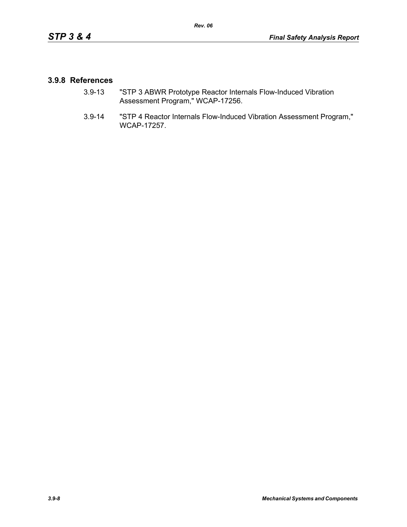#### **3.9.8 References**

- 3.9-13 "STP 3 ABWR Prototype Reactor Internals Flow-Induced Vibration Assessment Program," WCAP-17256.
- 3.9-14 "STP 4 Reactor Internals Flow-Induced Vibration Assessment Program," WCAP-17257.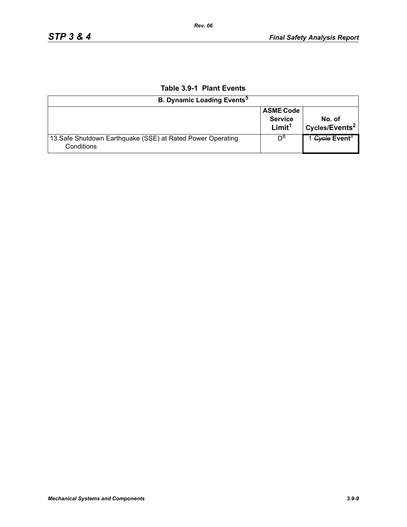| <b>B. Dynamic Loading Events<sup>5</sup></b>                              |                                                          |                                      |
|---------------------------------------------------------------------------|----------------------------------------------------------|--------------------------------------|
|                                                                           | <b>ASME Code</b><br><b>Service</b><br>Limit <sup>1</sup> | No. of<br>Cycles/Events <sup>2</sup> |
| 13. Safe Shutdown Earthquake (SSE) at Rated Power Operating<br>Conditions | Do                                                       | 1 Gycle Event <sup>4</sup>           |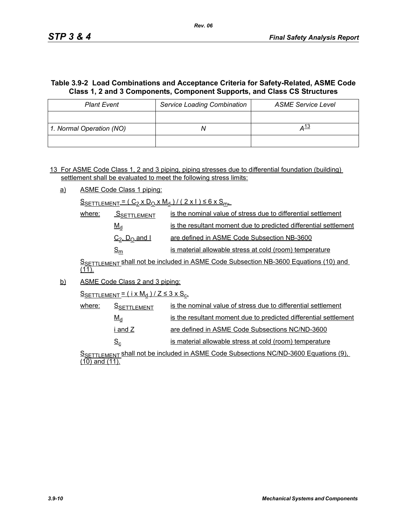## **Table 3.9-2 Load Combinations and Acceptance Criteria for Safety-Related, ASME Code Class 1, 2 and 3 Components, Component Supports, and Class CS Structures**

| <b>Plant Event</b>       | <b>Service Loading Combination</b> | <b>ASME Service Level</b> |
|--------------------------|------------------------------------|---------------------------|
|                          |                                    |                           |
| 1. Normal Operation (NO) |                                    | <u>д 13</u>               |
|                          |                                    |                           |

13 For ASME Code Class 1, 2 and 3 piping, piping stresses due to differential foundation (building) settlement shall be evaluated to meet the following stress limits:

a) ASME Code Class 1 piping:

 $S_{SETTLEMENT} = (C_2 \times D_0 \times M_d) / (2 \times 1) \le 6 \times S_{m+1}$ 

| where: | <b>SSETTLEMENT</b>                    | is the nominal value of stress due to differential settlement    |
|--------|---------------------------------------|------------------------------------------------------------------|
|        | $M_d$                                 | is the resultant moment due to predicted differential settlement |
|        | $C_2$ , $D_0$ and I                   | are defined in ASME Code Subsection NB-3600                      |
|        | $\mathsf{\underline{S}}_{\mathsf{m}}$ | is material allowable stress at cold (room) temperature          |

SSETTLEMENT Shall not be included in ASME Code Subsection NB-3600 Equations (10) and  $(11)$ .

b) ASME Code Class 2 and 3 piping:

 $S$ SETTLEMENT =  $(i \times M_d)/Z \leq 3 \times S_c$ 

| where: | <b>S</b> SETTLEMENT | is the nominal value of stress due to differential settlement    |
|--------|---------------------|------------------------------------------------------------------|
|        | $M_d$               | is the resultant moment due to predicted differential settlement |
|        | i and Z             | are defined in ASME Code Subsections NC/ND-3600                  |
|        | $S_{\rm c}$         | is material allowable stress at cold (room) temperature          |

S<sub>SETTLEMENT</sub> shall not be included in ASME Code Subsections NC/ND-3600 Equations (9), (10) and (11).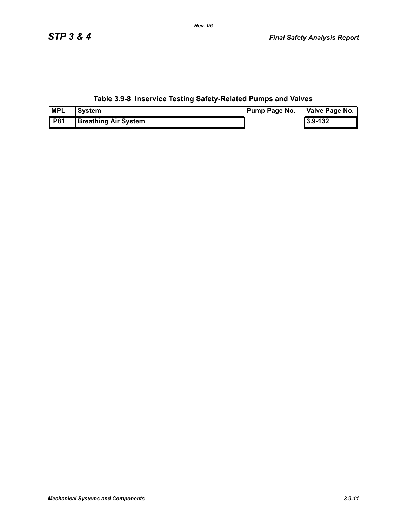| <b>MPL</b> | <b>System</b>               | <b>Pump Page No.</b> | Valve Page No. |  |
|------------|-----------------------------|----------------------|----------------|--|
| <b>P81</b> | <b>Breathing Air System</b> |                      | 3.9-132        |  |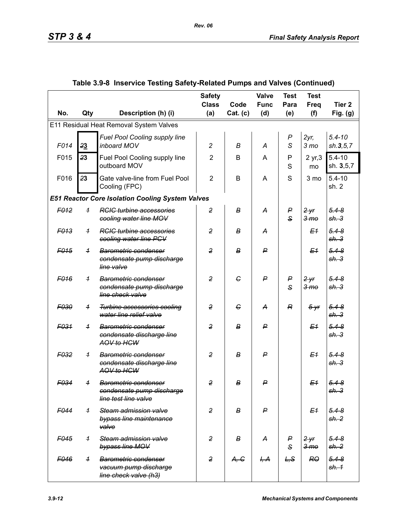|                  |                |                                                                                             | <b>Safety</b><br><b>Class</b> | Code             | Valve<br><b>Func</b> | <b>Test</b><br>Para   | <b>Test</b><br>Freq        | Tier <sub>2</sub>             |
|------------------|----------------|---------------------------------------------------------------------------------------------|-------------------------------|------------------|----------------------|-----------------------|----------------------------|-------------------------------|
| No.              | Qty            | Description (h) (i)                                                                         | (a)                           | Cat. (c)         | (d)                  | (e)                   | (f)                        | Fig. $(g)$                    |
|                  |                | E11 Residual Heat Removal System Valves                                                     |                               |                  |                      |                       |                            |                               |
| F014             | 23             | Fuel Pool Cooling supply line<br>inboard MOV                                                | $\overline{c}$                | В                | A                    | $\boldsymbol{P}$<br>S | $2yr$ ,<br>3 <sub>mo</sub> | $5.4 - 10$<br>sh.3, 5, 7      |
| F015             | 23             | Fuel Pool Cooling supply line<br>outboard MOV                                               | $\overline{2}$                | B                | A                    | P<br>S                | 2 yr, 3<br>mo              | $5.4 - 10$<br>sh. 3,5,7       |
| F016             | 23             | Gate valve-line from Fuel Pool<br>Cooling (FPC)                                             | $\overline{2}$                | B                | A                    | S                     | 3 mo                       | $5.4 - 10$<br>sh. 2           |
|                  |                | <b>E51 Reactor Core Isolation Cooling System Valves</b>                                     |                               |                  |                      |                       |                            |                               |
| F <sub>012</sub> | $\overline{1}$ | <b>RCIC turbine accessories</b><br>cooling water line MOV                                   | $\overline{2}$                | В                | А                    | P<br>$\mathbf{s}$     | 2yr<br>3 <sub>mo</sub>     | $5.4 - 8$<br>sh.3             |
| F <sub>013</sub> | $\overline{1}$ | <b>RGIG</b> turbine accessories<br>cooling water line PCV                                   | $\overline{2}$                | в                | A                    |                       | E <sub>1</sub>             | $5.4 - 8$<br>sh.3             |
| F <sub>015</sub> | $\overline{1}$ | Barometric condenser<br>condensate pump discharge<br>line valve                             | $\overline{2}$                | $\boldsymbol{B}$ | ₽                    |                       | E <sub>1</sub>             | $5.4 - 8$<br>sh.3             |
| F <sub>016</sub> | $\overline{1}$ | Barometric condenser<br>condensate pump discharge<br>line check valve                       | $\overline{2}$                | G                | $\mathsf{P}$         | P<br>$\mathbf{s}$     | 2yr<br>3 <sub>mo</sub>     | $5.4 - 8$<br>sh.3             |
| F030             | $\overline{1}$ | <b>Turbine accessories cooling</b><br>water line relief valve                               | $\overline{2}$                | G                | A                    | R                     | $5 - yr$                   | $5.4 - 8$<br>sh.3             |
| F <sub>031</sub> | $\overline{1}$ | Barometric condenser<br>condensate discharge line<br>AOV to HCW                             | $\overline{2}$                | $\boldsymbol{B}$ | ₽                    |                       | E <sub>1</sub>             | $5.4 - 8$<br>sh.3             |
| F <sub>032</sub> | $\overline{1}$ | <b>Barometric condenser</b><br>condensate discharge line<br>AOV to HCW                      | $\overline{2}$                | в                | ₽                    |                       | E <sub>1</sub>             | $5.4 - 8$<br>sh.3             |
| F034             | $\overline{1}$ | <b>Barometric condenser</b><br><del>condensate pump discharge</del><br>line test line valve | $\overline{2}$                | в                | $\mathsf{P}$         |                       | E <sub>1</sub>             | $5.4 - 8$<br><del>sh. 3</del> |
| F044             | $\overline{1}$ | Steam admission valve<br>bypass line maintenance<br>valve                                   | $\overline{2}$                | B                | $\mathsf{P}$         |                       | E <sub>1</sub>             | $5.4 - 8$<br>sh.2             |
| F <sub>045</sub> | $\overline{1}$ | Steam admission valve<br>bypass line MOV                                                    | $\overline{2}$                | в                | A                    | P<br>$\mathsf{s}$     | 2yr<br>3 <sub>mo</sub>     | $5.4 - 8$<br>sh. 2            |
| F046             | $\overline{1}$ | <b>Barometric condenser</b><br>vacuum pump discharge<br>line check valve (h3)               | $\overline{2}$                | A, G             | H, A                 | L, S                  | RO                         | $5.4 - 8$<br>sh. 1            |

*Rev. 06*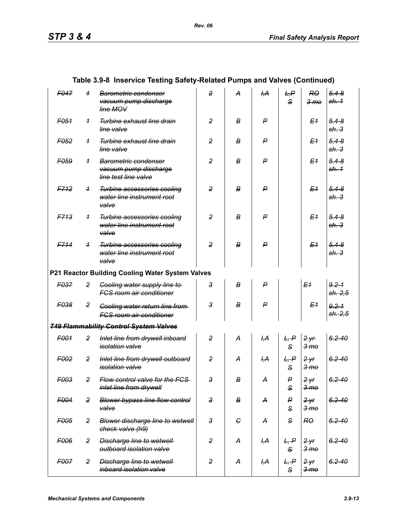|                  |                | $\sim$ moderno resulty outcry-related Famps and valves (continued)           |                |            |                 |                      |                                     |                               |
|------------------|----------------|------------------------------------------------------------------------------|----------------|------------|-----------------|----------------------|-------------------------------------|-------------------------------|
| F047             | $\overline{1}$ | Barometric condenser<br>vacuum pump discharge<br>line MOV                    | $\overline{2}$ | А          | H, A            | L, P<br>$\mathbf{s}$ | RO<br>3 <sub>me</sub>               | $5.4 - 8$<br>sh. 1            |
| F <sub>051</sub> | $\overline{1}$ | Turbine exhaust line drain<br>line valve                                     | $\overline{2}$ | В          | P               |                      | E <sub>1</sub>                      | $5.4 - 8$<br>sh. 3            |
| F <sub>052</sub> | $\overline{1}$ | Turbine exhaust line drain<br>line valve                                     | $\overline{2}$ | В          | P               |                      | E <sub>1</sub>                      | $5.4 - 8$<br>sh. 3            |
| F <sub>059</sub> | $\overline{1}$ | <b>Barometric condenser</b><br>vacuum pump discharge<br>line test line valve | $\overline{2}$ | В          | P               |                      | E <sub>1</sub>                      | $5.4 - 8$<br><del>sh. 1</del> |
| F712             | $\overline{1}$ | <b>Turbine accessories cooling</b><br>water line instrument root<br>valve    | $\overline{2}$ | В          | $\mathsf{P}$    |                      | E <sub>1</sub>                      | $5.4 - 8$<br>sh.3             |
| <b>F713</b>      | $\overline{1}$ | Turbine accessories cooling<br>water line instrument root<br>valve           | $\overline{2}$ | В          | P               |                      | E <sub>1</sub>                      | $5.4 - 8$<br>sh.3             |
| F714             | $\overline{1}$ | <b>Turbine accessories cooling</b><br>water line instrument root<br>valve    | $\overline{2}$ | В          | $\mathsf{P}$    |                      | E <sub>1</sub>                      | $5.4 - 8$<br>sh.3             |
|                  |                | P21 Reactor Building Cooling Water System Valves                             |                |            |                 |                      |                                     |                               |
| F037             | $\overline{2}$ | <b>Cooling water supply line to-</b><br><b>FCS room air conditioner</b>      | 3              | В          | $\mathsf{P}$    |                      | E <sub>1</sub>                      | $9.2 - 1$<br>sh. 2,5          |
| F038             | 2              | Cooling water return line from<br><b>FCS room air conditioner</b>            | $\mathbf{3}$   | В          | P               |                      | E <sub>1</sub>                      | $9.2 - 1$<br>sh. 2,5          |
|                  |                | <b>T49 Flammability Control System Valves</b>                                |                |            |                 |                      |                                     |                               |
| F001             | $\overline{2}$ | Inlet line from drywell inboard<br>isolation valve                           | $\overline{2}$ | A          | <del>І,А</del>  | L, P<br>$\mathbf{s}$ | 2yr<br>3 <sub>mo</sub>              | $6.2 - 40$                    |
| F <sub>002</sub> | $\overline{2}$ | Inlet line from drywell outboard<br><i>isolation</i> valve                   | $\overline{2}$ | A          | <del>І,А</del>  | L, P<br>$\mathbf{s}$ | $2$ yr<br>$3 \,$ m $\theta$         | $6.2 - 40$                    |
| F003             | $\overline{2}$ | Flow control valve for the FCS<br>inlet line from drywell                    | 3              | в          | A               | P<br>S               | $2 - yr$<br>3 <sub>mo</sub>         | $6.2 - 40$                    |
| F004             | $\overline{2}$ | <b>Blower bypass line flow control</b><br>valve                              | $\mathbf{3}$   | В          | A               | P<br>S               | $2 - yr$<br><del>3 mo</del>         | $6.2 - 40$                    |
| F005             | $\overline{2}$ | <b>Blower discharge line to wetwell</b><br>check valve (h9)                  | $\mathbf{3}$   | $\epsilon$ | A               | S                    | <b>RO</b>                           | $6.2 - 40$                    |
| F006             | $\overline{2}$ | <b>Discharge line to wetwell</b><br>outboard isolation valve                 | 2              | A          | I <del>,А</del> | L, P<br>S            | 2yr<br>3 <sub>mo</sub>              | $6.2 - 40$                    |
| F007             | $\overline{2}$ | <b>Discharge line to wetwell</b><br>inboard isolation valve                  | $\overline{2}$ | A          | <del>I,A</del>  | L, P<br>S            | 2 <sup>y</sup><br>$3 \,$ m $\sigma$ | $6.2 - 40$                    |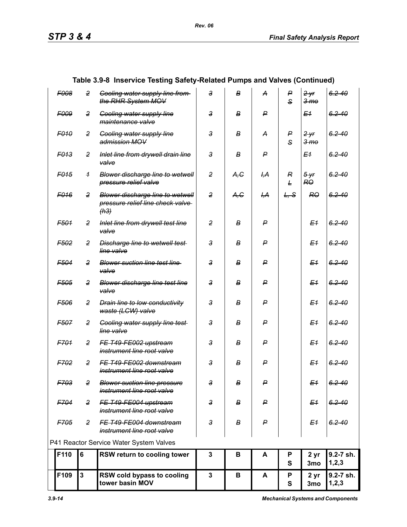| F109             | $\mathbf{3}$   | RSW cold bypass to cooling<br>tower basin MOV                                       | $\mathbf{3}$   | В    | A                | P<br>$\mathbf{s}$ | 2 yr<br>3 <sub>mo</sub>     | 9.2-7 sh.<br>1, 2, 3 |
|------------------|----------------|-------------------------------------------------------------------------------------|----------------|------|------------------|-------------------|-----------------------------|----------------------|
| F110             | $6\phantom{a}$ | RSW return to cooling tower                                                         | 3              | В    | A                | P<br>S            | 2 yr<br>3mo                 | 9.2-7 sh.<br>1, 2, 3 |
|                  |                | P41 Reactor Service Water System Valves                                             |                |      |                  |                   |                             |                      |
| F705             | $\overline{2}$ | FE T49-FE004 downstream<br>instrument line root valve                               | $\overline{3}$ | В    | P                |                   | E <sub>1</sub>              | $6.2 - 40$           |
| F704             | $\overline{2}$ | FE T49-FE004 upstream<br>instrument line root valve                                 | 3              | В    | P                |                   | E <sub>1</sub>              | $6.2 - 40$           |
| F703             | $\overline{2}$ | <b>Blower suction line pressure</b><br>instrument line root valve                   | 3              | в    | ۲                |                   | E <sub>1</sub>              | $6.2 - 40$           |
| F702             | 2              | FE T49-FE002 downstream<br>instrument line root valve                               | $\mathbf{3}$   | в    | P                |                   | E <sub>1</sub>              | $6.2 - 40$           |
| F701             | 2              | FE T49 FE002 upstream<br>instrument line root valve                                 | $\mathbf{3}$   | в    | P                |                   | E <sub>1</sub>              | $6.2 - 40$           |
| <b>F507</b>      | $\overline{c}$ | <b>Cooling water supply line test-</b><br>line valve                                | $\mathbf{3}$   | в    | P                |                   | E <sub>1</sub>              | $6.2 - 40$           |
| F506             | 2              | <b>Drain line to low conductivity</b><br>waste (LCW) valve                          | $\mathbf{3}$   | в    | P                |                   | E <sub>1</sub>              | $6.2 - 40$           |
| F <sub>505</sub> | 2              | <b>Blower discharge line test line</b><br>valve                                     | $\mathbf{3}$   | в    | P                |                   | E <sub>1</sub>              | $6.2 - 40$           |
| F <sub>504</sub> | 2              | <b>Blower suction line test line</b><br>valve                                       | $\mathbf{3}$   | в    | P                |                   | E <sub>1</sub>              | $6.2 - 40$           |
| F <sub>502</sub> | 2              | <b>Discharge line to wetwell test-</b><br>line valve                                | 3              | в    | P                |                   | E <sub>1</sub>              | $6.2 - 40$           |
| F501             | 2              | Inlet line from drywell test line<br>valve                                          | $\overline{2}$ | B    | P                |                   | E <sub>1</sub>              | $6.2 - 40$           |
| F <sub>016</sub> | $\overline{c}$ | <b>Blower discharge line to wetwell</b><br>pressure relief line check valve<br>(h3) | $\overline{2}$ | A, G | <del>І,А</del>   | L, S              | <b>RO</b>                   | $6.2 - 40$           |
| F <sub>015</sub> | $\overline{1}$ | Blower discharge line to wetwell<br>pressure relief valve                           | 2              | A, C | I <del>,</del> А | R<br>Ł            | $5 - yr$<br>RO.             | $6.2 - 40$           |
| F013             | 2              | Inlet line from drywell drain line<br>valve                                         | 3              | В    | P                |                   | Е1                          | $6.2 - 40$           |
| <b>F010</b>      | 2              | <b>Gooling water supply line</b><br>admission MOV                                   | 3              | в    | A                | P<br>S            | 2yr<br>3 <sub>mo</sub>      | $6.2 - 40$           |
| F <sub>009</sub> | 2              | <b>Gooling water supply line</b><br>maintenance valve                               | 3              | B    | P                |                   | E <sub>1</sub>              | $6.2 - 40$           |
| <b>F008</b>      | $\overline{2}$ | <b>Cooling water supply line from-</b><br>the RHR System MOV                        | 3              | в    | А                | P<br>S            | $2 - yr$<br>3 <sub>mo</sub> | $6.2 - 40$           |
|                  |                |                                                                                     |                |      |                  |                   |                             |                      |